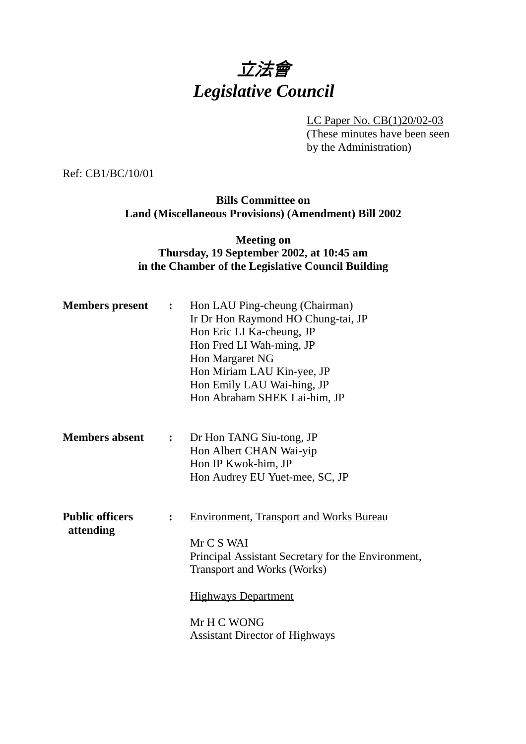# 立法會 *Legislative Council*

LC Paper No. CB(1)20/02-03 (These minutes have been seen by the Administration)

Ref: CB1/BC/10/01

## **Bills Committee on Land (Miscellaneous Provisions) (Amendment) Bill 2002**

## **Meeting on Thursday, 19 September 2002, at 10:45 am in the Chamber of the Legislative Council Building**

| <b>Members present</b>              | $\ddot{\bullet}$ | Hon LAU Ping-cheung (Chairman)<br>Ir Dr Hon Raymond HO Chung-tai, JP<br>Hon Eric LI Ka-cheung, JP<br>Hon Fred LI Wah-ming, JP<br>Hon Margaret NG<br>Hon Miriam LAU Kin-yee, JP<br>Hon Emily LAU Wai-hing, JP<br>Hon Abraham SHEK Lai-him, JP   |
|-------------------------------------|------------------|------------------------------------------------------------------------------------------------------------------------------------------------------------------------------------------------------------------------------------------------|
| <b>Members absent</b>               | $\ddot{\cdot}$   | Dr Hon TANG Siu-tong, JP<br>Hon Albert CHAN Wai-yip<br>Hon IP Kwok-him, JP<br>Hon Audrey EU Yuet-mee, SC, JP                                                                                                                                   |
| <b>Public officers</b><br>attending | $\ddot{\cdot}$   | <b>Environment, Transport and Works Bureau</b><br>Mr C S WAI<br>Principal Assistant Secretary for the Environment,<br><b>Transport and Works (Works)</b><br><b>Highways Department</b><br>Mr H C WONG<br><b>Assistant Director of Highways</b> |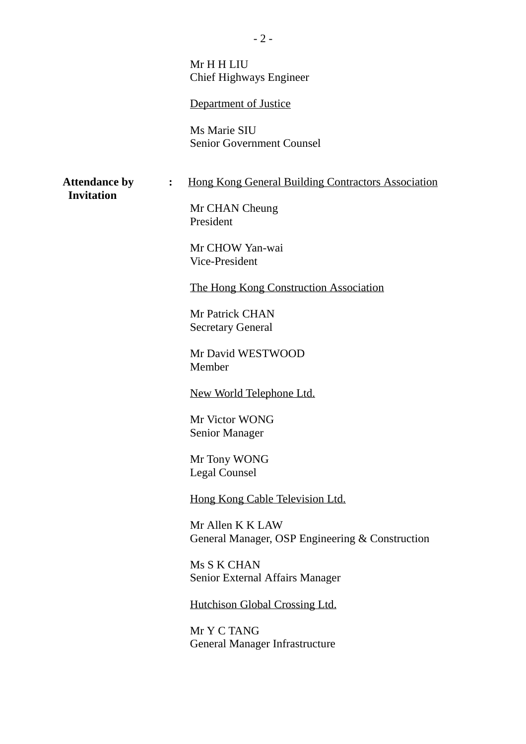Mr H H LIU Chief Highways Engineer

Department of Justice

Ms Marie SIU Senior Government Counsel

## Attendance by : Hong Kong General Building Contractors Association

 **Invitation**

Mr CHAN Cheung President

Mr CHOW Yan-wai Vice-President

The Hong Kong Construction Association

Mr Patrick CHAN Secretary General

Mr David WESTWOOD Member

New World Telephone Ltd.

Mr Victor WONG Senior Manager

Mr Tony WONG Legal Counsel

Hong Kong Cable Television Ltd.

Mr Allen K K LAW General Manager, OSP Engineering & Construction

Ms S K CHAN Senior External Affairs Manager

Hutchison Global Crossing Ltd.

Mr Y C TANG General Manager Infrastructure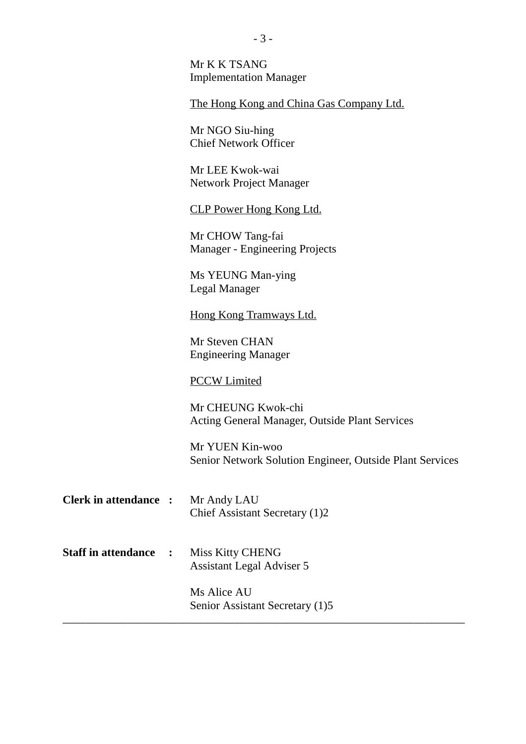Mr K K TSANG Implementation Manager

The Hong Kong and China Gas Company Ltd.

Mr NGO Siu-hing Chief Network Officer

Mr LEE Kwok-wai Network Project Manager

CLP Power Hong Kong Ltd.

Mr CHOW Tang-fai Manager - Engineering Projects

Ms YEUNG Man-ying Legal Manager

Hong Kong Tramways Ltd.

Mr Steven CHAN Engineering Manager

#### PCCW Limited

Mr CHEUNG Kwok-chi Acting General Manager, Outside Plant Services

Mr YUEN Kin-woo Senior Network Solution Engineer, Outside Plant Services

- **Clerk in attendance :** Mr Andy LAU Chief Assistant Secretary (1)2
- **Staff in attendance :** Miss Kitty CHENG Assistant Legal Adviser 5

Ms Alice AU Senior Assistant Secretary (1)5

\_\_\_\_\_\_\_\_\_\_\_\_\_\_\_\_\_\_\_\_\_\_\_\_\_\_\_\_\_\_\_\_\_\_\_\_\_\_\_\_\_\_\_\_\_\_\_\_\_\_\_\_\_\_\_\_\_\_\_\_\_\_\_\_\_\_\_\_\_\_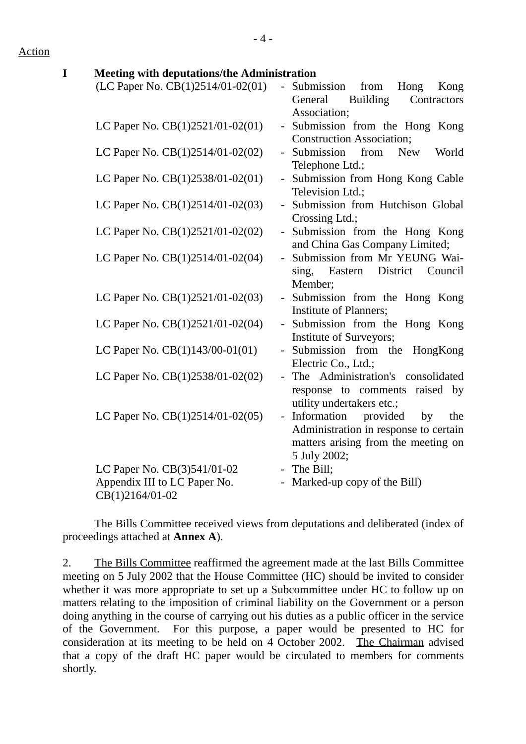Action

## **I Meeting with deputations/the Administration**  $(LC$  Paper No.  $CB(1)2514/01-02(01)$  - Submission from Hong Kong General Building Contractors Association; LC Paper No.  $CB(1)2521/01-02(01)$  - Submission from the Hong Kong Construction Association; LC Paper No. CB(1)2514/01-02(02) - Submission from New World Telephone Ltd.; LC Paper No.  $CB(1)2538/01-02(01)$  - Submission from Hong Kong Cable Television Ltd.; LC Paper No. CB(1)2514/01-02(03) - Submission from Hutchison Global Crossing Ltd.; LC Paper No.  $CB(1)2521/01-02(02)$  - Submission from the Hong Kong and China Gas Company Limited; LC Paper No. CB(1)2514/01-02(04) - Submission from Mr YEUNG Waising, Eastern District Council Member; LC Paper No.  $CB(1)2521/01-02(03)$  - Submission from the Hong Kong Institute of Planners; LC Paper No.  $CB(1)2521/01-02(04)$  - Submission from the Hong Kong Institute of Surveyors; LC Paper No.  $CB(1)143/00-01(01)$  - Submission from the HongKong Electric Co., Ltd.; LC Paper No. CB(1)2538/01-02(02) - The Administration's consolidated response to comments raised by utility undertakers etc.; LC Paper No.  $CB(1)2514/01-02(05)$  - Information provided by the Administration in response to certain matters arising from the meeting on 5 July 2002; LC Paper No.  $CB(3)541/01-02$  - The Bill;

The Bills Committee received views from deputations and deliberated (index of proceedings attached at **Annex A**).

- Marked-up copy of the Bill)

Appendix III to LC Paper No.

CB(1)2164/01-02

2. The Bills Committee reaffirmed the agreement made at the last Bills Committee meeting on 5 July 2002 that the House Committee (HC) should be invited to consider whether it was more appropriate to set up a Subcommittee under HC to follow up on matters relating to the imposition of criminal liability on the Government or a person doing anything in the course of carrying out his duties as a public officer in the service of the Government. For this purpose, a paper would be presented to HC for consideration at its meeting to be held on 4 October 2002. The Chairman advised that a copy of the draft HC paper would be circulated to members for comments shortly.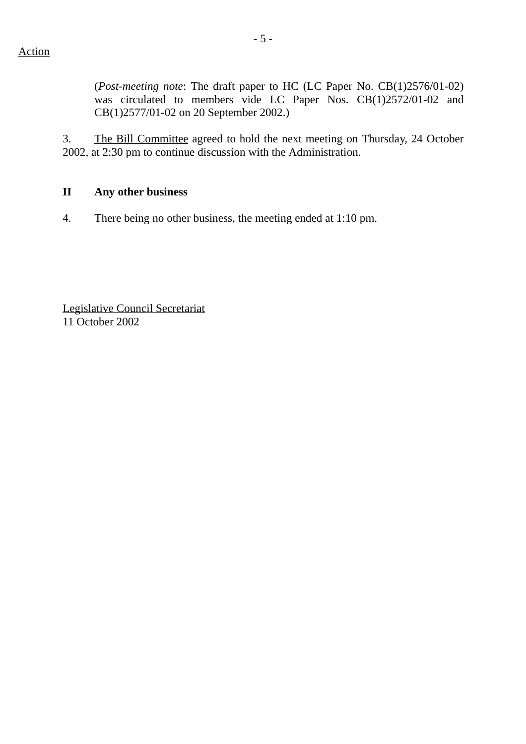(*Post-meeting note*: The draft paper to HC (LC Paper No. CB(1)2576/01-02) was circulated to members vide LC Paper Nos. CB(1)2572/01-02 and CB(1)2577/01-02 on 20 September 2002.)

3. The Bill Committee agreed to hold the next meeting on Thursday, 24 October 2002, at 2:30 pm to continue discussion with the Administration.

## **II Any other business**

4. There being no other business, the meeting ended at 1:10 pm.

Legislative Council Secretariat 11 October 2002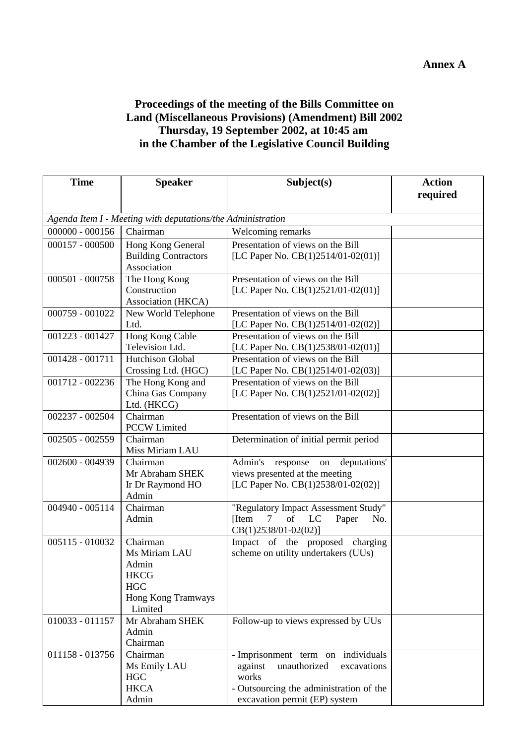## **Proceedings of the meeting of the Bills Committee on Land (Miscellaneous Provisions) (Amendment) Bill 2002 Thursday, 19 September 2002, at 10:45 am in the Chamber of the Legislative Council Building**

| <b>Time</b>                                                 | <b>Speaker</b>              | Subject(s)                                                             | <b>Action</b> |  |  |  |  |  |
|-------------------------------------------------------------|-----------------------------|------------------------------------------------------------------------|---------------|--|--|--|--|--|
|                                                             |                             |                                                                        | required      |  |  |  |  |  |
| Agenda Item I - Meeting with deputations/the Administration |                             |                                                                        |               |  |  |  |  |  |
| $000000 - 000156$                                           | Chairman                    | Welcoming remarks                                                      |               |  |  |  |  |  |
| $000157 - 000500$                                           | Hong Kong General           | Presentation of views on the Bill                                      |               |  |  |  |  |  |
|                                                             | <b>Building Contractors</b> | [LC Paper No. $CB(1)2514/01-02(01)]$                                   |               |  |  |  |  |  |
|                                                             | Association                 |                                                                        |               |  |  |  |  |  |
| 000501 - 000758                                             | The Hong Kong               | Presentation of views on the Bill                                      |               |  |  |  |  |  |
|                                                             | Construction                | [LC Paper No. CB(1)2521/01-02(01)]                                     |               |  |  |  |  |  |
|                                                             | Association (HKCA)          |                                                                        |               |  |  |  |  |  |
| 000759 - 001022                                             | New World Telephone         | Presentation of views on the Bill                                      |               |  |  |  |  |  |
|                                                             | Ltd.                        | [LC Paper No. CB(1)2514/01-02(02)]                                     |               |  |  |  |  |  |
| 001223 - 001427                                             | Hong Kong Cable             | Presentation of views on the Bill                                      |               |  |  |  |  |  |
|                                                             | Television Ltd.             | [LC Paper No. $CB(1)2538/01-02(01)$ ]                                  |               |  |  |  |  |  |
| $001428 - 001711$                                           | <b>Hutchison Global</b>     | Presentation of views on the Bill                                      |               |  |  |  |  |  |
|                                                             | Crossing Ltd. (HGC)         | [LC Paper No. $CB(1)2514/01-02(03)$ ]                                  |               |  |  |  |  |  |
| 001712 - 002236                                             | The Hong Kong and           | Presentation of views on the Bill                                      |               |  |  |  |  |  |
|                                                             | China Gas Company           | [LC Paper No. CB(1)2521/01-02(02)]                                     |               |  |  |  |  |  |
|                                                             | Ltd. (HKCG)                 |                                                                        |               |  |  |  |  |  |
| 002237 - 002504                                             | Chairman                    | Presentation of views on the Bill                                      |               |  |  |  |  |  |
|                                                             | <b>PCCW Limited</b>         |                                                                        |               |  |  |  |  |  |
| 002505 - 002559                                             | Chairman                    | Determination of initial permit period                                 |               |  |  |  |  |  |
|                                                             | Miss Miriam LAU             |                                                                        |               |  |  |  |  |  |
| 002600 - 004939                                             | Chairman                    | Admin's<br>deputations'<br>response<br>on                              |               |  |  |  |  |  |
|                                                             | Mr Abraham SHEK             | views presented at the meeting                                         |               |  |  |  |  |  |
|                                                             | Ir Dr Raymond HO            | [LC Paper No. CB(1)2538/01-02(02)]                                     |               |  |  |  |  |  |
|                                                             | Admin                       |                                                                        |               |  |  |  |  |  |
| 004940 - 005114                                             | Chairman                    | "Regulatory Impact Assessment Study"                                   |               |  |  |  |  |  |
|                                                             | Admin                       | of<br>$7\overline{ }$<br>[Item]<br>LC<br>No.<br>Paper                  |               |  |  |  |  |  |
| 005115 - 010032                                             | Chairman                    | $CB(1)2538/01-02(02)]$                                                 |               |  |  |  |  |  |
|                                                             | Ms Miriam LAU               | Impact of the proposed charging<br>scheme on utility undertakers (UUs) |               |  |  |  |  |  |
|                                                             | Admin                       |                                                                        |               |  |  |  |  |  |
|                                                             | <b>HKCG</b>                 |                                                                        |               |  |  |  |  |  |
|                                                             | <b>HGC</b>                  |                                                                        |               |  |  |  |  |  |
|                                                             | <b>Hong Kong Tramways</b>   |                                                                        |               |  |  |  |  |  |
|                                                             | Limited                     |                                                                        |               |  |  |  |  |  |
| $010033 - 011157$                                           | Mr Abraham SHEK             | Follow-up to views expressed by UUs                                    |               |  |  |  |  |  |
|                                                             | Admin                       |                                                                        |               |  |  |  |  |  |
|                                                             | Chairman                    |                                                                        |               |  |  |  |  |  |
| 011158 - 013756                                             | Chairman                    | - Imprisonment term on individuals                                     |               |  |  |  |  |  |
|                                                             | Ms Emily LAU                | unauthorized<br>excavations<br>against                                 |               |  |  |  |  |  |
|                                                             | <b>HGC</b>                  | works                                                                  |               |  |  |  |  |  |
|                                                             | <b>HKCA</b>                 | - Outsourcing the administration of the                                |               |  |  |  |  |  |
|                                                             | Admin                       | excavation permit (EP) system                                          |               |  |  |  |  |  |